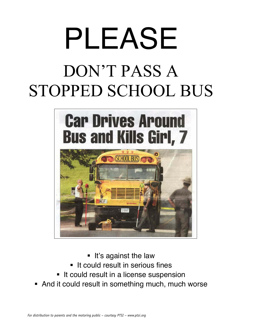# PLEASE

## DON'T PASS A STOPPED SCHOOL BUS



- **.** It's against the law
- **If could result in serious fines**
- $\blacksquare$  It could result in a license suspension
- And it could result in something much, much worse